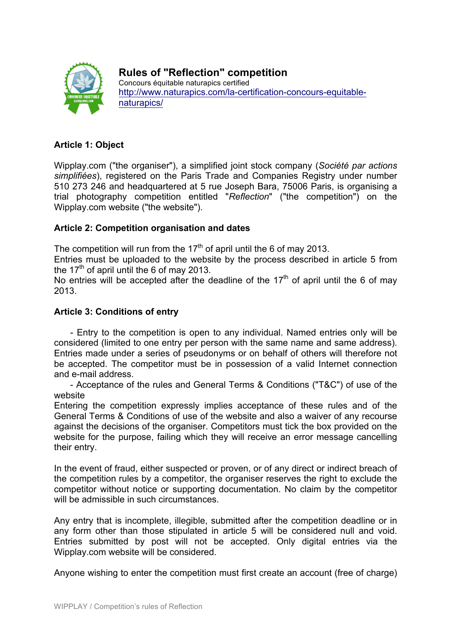

# **Rules of "Reflection" competition**

Concours équitable naturapics certified http://www.naturapics.com/la-certification-concours-equitablenaturapics/

## **Article 1: Object**

Wipplay.com ("the organiser"), a simplified joint stock company (*Société par actions simplifiées*), registered on the Paris Trade and Companies Registry under number 510 273 246 and headquartered at 5 rue Joseph Bara, 75006 Paris, is organising a trial photography competition entitled "*Reflection*" ("the competition") on the Wipplay.com website ("the website").

## **Article 2: Competition organisation and dates**

The competition will run from the  $17<sup>th</sup>$  of april until the 6 of may 2013.

Entries must be uploaded to the website by the process described in article 5 from the 17<sup>th</sup> of april until the 6 of may 2013.

No entries will be accepted after the deadline of the  $17<sup>th</sup>$  of april until the 6 of may 2013.

## **Article 3: Conditions of entry**

- Entry to the competition is open to any individual. Named entries only will be considered (limited to one entry per person with the same name and same address). Entries made under a series of pseudonyms or on behalf of others will therefore not be accepted. The competitor must be in possession of a valid Internet connection and e-mail address.

- Acceptance of the rules and General Terms & Conditions ("T&C") of use of the website

Entering the competition expressly implies acceptance of these rules and of the General Terms & Conditions of use of the website and also a waiver of any recourse against the decisions of the organiser. Competitors must tick the box provided on the website for the purpose, failing which they will receive an error message cancelling their entry.

In the event of fraud, either suspected or proven, or of any direct or indirect breach of the competition rules by a competitor, the organiser reserves the right to exclude the competitor without notice or supporting documentation. No claim by the competitor will be admissible in such circumstances.

Any entry that is incomplete, illegible, submitted after the competition deadline or in any form other than those stipulated in article 5 will be considered null and void. Entries submitted by post will not be accepted. Only digital entries via the Wipplay.com website will be considered.

Anyone wishing to enter the competition must first create an account (free of charge)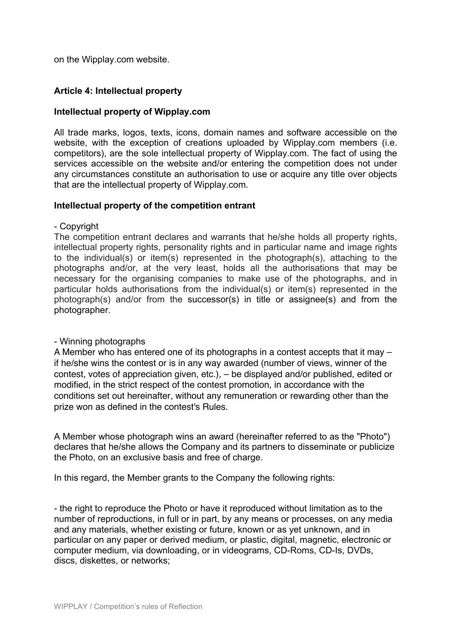on the Wipplay.com website.

### **Article 4: Intellectual property**

#### **Intellectual property of Wipplay.com**

All trade marks, logos, texts, icons, domain names and software accessible on the website, with the exception of creations uploaded by Wipplay.com members (i.e. competitors), are the sole intellectual property of Wipplay.com. The fact of using the services accessible on the website and/or entering the competition does not under any circumstances constitute an authorisation to use or acquire any title over objects that are the intellectual property of Wipplay.com.

#### **Intellectual property of the competition entrant**

#### - Copyright

The competition entrant declares and warrants that he/she holds all property rights, intellectual property rights, personality rights and in particular name and image rights to the individual(s) or item(s) represented in the photograph(s), attaching to the photographs and/or, at the very least, holds all the authorisations that may be necessary for the organising companies to make use of the photographs, and in particular holds authorisations from the individual(s) or item(s) represented in the photograph(s) and/or from the successor(s) in title or assignee(s) and from the photographer.

#### - Winning photographs

A Member who has entered one of its photographs in a contest accepts that it may – if he/she wins the contest or is in any way awarded (number of views, winner of the contest, votes of appreciation given, etc.), – be displayed and/or published, edited or modified, in the strict respect of the contest promotion, in accordance with the conditions set out hereinafter, without any remuneration or rewarding other than the prize won as defined in the contest's Rules.

A Member whose photograph wins an award (hereinafter referred to as the "Photo") declares that he/she allows the Company and its partners to disseminate or publicize the Photo, on an exclusive basis and free of charge.

In this regard, the Member grants to the Company the following rights:

- the right to reproduce the Photo or have it reproduced without limitation as to the number of reproductions, in full or in part, by any means or processes, on any media and any materials, whether existing or future, known or as yet unknown, and in particular on any paper or derived medium, or plastic, digital, magnetic, electronic or computer medium, via downloading, or in videograms, CD-Roms, CD-Is, DVDs, discs, diskettes, or networks;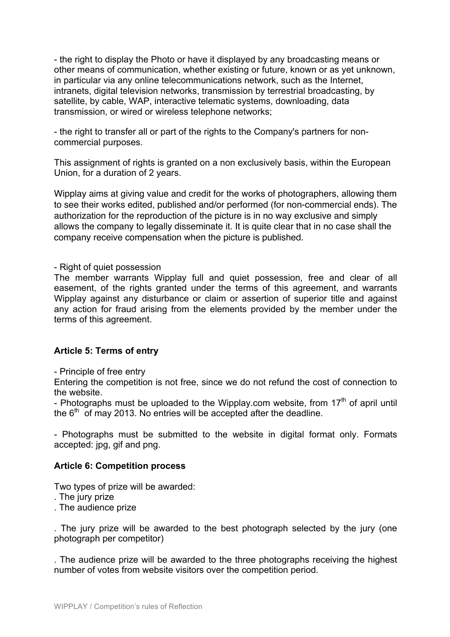- the right to display the Photo or have it displayed by any broadcasting means or other means of communication, whether existing or future, known or as yet unknown, in particular via any online telecommunications network, such as the Internet, intranets, digital television networks, transmission by terrestrial broadcasting, by satellite, by cable, WAP, interactive telematic systems, downloading, data transmission, or wired or wireless telephone networks;

- the right to transfer all or part of the rights to the Company's partners for noncommercial purposes.

This assignment of rights is granted on a non exclusively basis, within the European Union, for a duration of 2 years.

Wipplay aims at giving value and credit for the works of photographers, allowing them to see their works edited, published and/or performed (for non-commercial ends). The authorization for the reproduction of the picture is in no way exclusive and simply allows the company to legally disseminate it. It is quite clear that in no case shall the company receive compensation when the picture is published.

#### - Right of quiet possession

The member warrants Wipplay full and quiet possession, free and clear of all easement, of the rights granted under the terms of this agreement, and warrants Wipplay against any disturbance or claim or assertion of superior title and against any action for fraud arising from the elements provided by the member under the terms of this agreement.

## **Article 5: Terms of entry**

#### - Principle of free entry

Entering the competition is not free, since we do not refund the cost of connection to the website.

- Photographs must be uploaded to the Wipplay.com website, from  $17<sup>th</sup>$  of april until the  $6<sup>th</sup>$  of may 2013. No entries will be accepted after the deadline.

- Photographs must be submitted to the website in digital format only. Formats accepted: jpg, gif and png.

#### **Article 6: Competition process**

Two types of prize will be awarded:

- . The jury prize
- . The audience prize

. The jury prize will be awarded to the best photograph selected by the jury (one photograph per competitor)

. The audience prize will be awarded to the three photographs receiving the highest number of votes from website visitors over the competition period.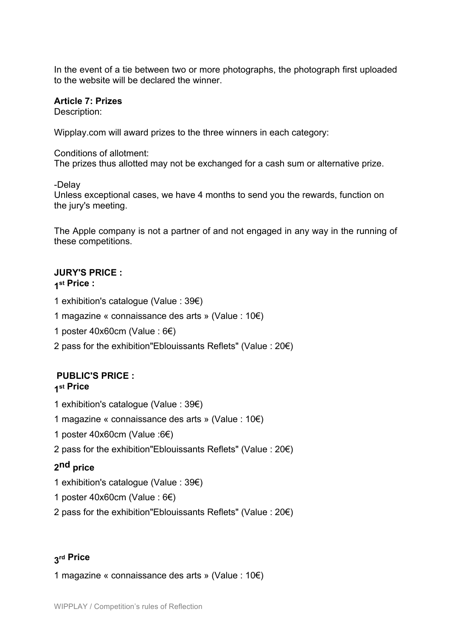In the event of a tie between two or more photographs, the photograph first uploaded to the website will be declared the winner.

#### **Article 7: Prizes**

Description:

Wipplay.com will award prizes to the three winners in each category:

#### Conditions of allotment:

The prizes thus allotted may not be exchanged for a cash sum or alternative prize.

-Delay

Unless exceptional cases, we have 4 months to send you the rewards, function on the jury's meeting.

The Apple company is not a partner of and not engaged in any way in the running of these competitions.

# **JURY'S PRICE :**

**1st Price :** 

1 exhibition's catalogue (Value : 39€)

- 1 magazine « connaissance des arts » (Value : 10€)
- 1 poster 40x60cm (Value : 6€)
- 2 pass for the exhibition"Eblouissants Reflets" (Value : 20€)

## **PUBLIC'S PRICE : 1st Price**

- 1 exhibition's catalogue (Value : 39€)
- 1 magazine « connaissance des arts » (Value : 10€)
- 1 poster 40x60cm (Value :6€)
- 2 pass for the exhibition"Eblouissants Reflets" (Value : 20€)

# **2nd price**

- 1 exhibition's catalogue (Value : 39€)
- 1 poster 40x60cm (Value : 6€)
- 2 pass for the exhibition"Eblouissants Reflets" (Value : 20€)

## **3rd Price**

1 magazine « connaissance des arts » (Value : 10€)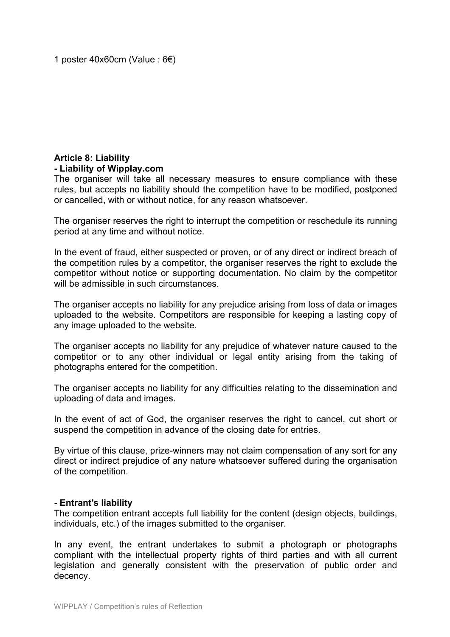## **Article 8: Liability - Liability of Wipplay.com**

The organiser will take all necessary measures to ensure compliance with these rules, but accepts no liability should the competition have to be modified, postponed or cancelled, with or without notice, for any reason whatsoever.

The organiser reserves the right to interrupt the competition or reschedule its running period at any time and without notice.

In the event of fraud, either suspected or proven, or of any direct or indirect breach of the competition rules by a competitor, the organiser reserves the right to exclude the competitor without notice or supporting documentation. No claim by the competitor will be admissible in such circumstances.

The organiser accepts no liability for any prejudice arising from loss of data or images uploaded to the website. Competitors are responsible for keeping a lasting copy of any image uploaded to the website.

The organiser accepts no liability for any prejudice of whatever nature caused to the competitor or to any other individual or legal entity arising from the taking of photographs entered for the competition.

The organiser accepts no liability for any difficulties relating to the dissemination and uploading of data and images.

In the event of act of God, the organiser reserves the right to cancel, cut short or suspend the competition in advance of the closing date for entries.

By virtue of this clause, prize-winners may not claim compensation of any sort for any direct or indirect prejudice of any nature whatsoever suffered during the organisation of the competition.

#### **- Entrant's liability**

The competition entrant accepts full liability for the content (design objects, buildings, individuals, etc.) of the images submitted to the organiser.

In any event, the entrant undertakes to submit a photograph or photographs compliant with the intellectual property rights of third parties and with all current legislation and generally consistent with the preservation of public order and decency.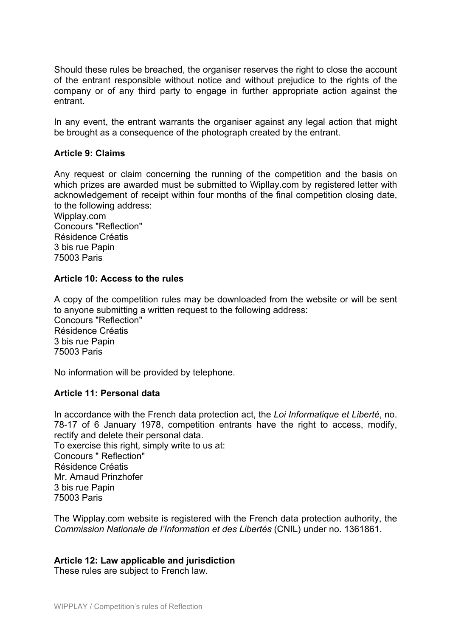Should these rules be breached, the organiser reserves the right to close the account of the entrant responsible without notice and without prejudice to the rights of the company or of any third party to engage in further appropriate action against the entrant.

In any event, the entrant warrants the organiser against any legal action that might be brought as a consequence of the photograph created by the entrant.

#### **Article 9: Claims**

Any request or claim concerning the running of the competition and the basis on which prizes are awarded must be submitted to Wipllay.com by registered letter with acknowledgement of receipt within four months of the final competition closing date, to the following address:

Wipplay.com Concours "Reflection" Résidence Créatis 3 bis rue Papin 75003 Paris

#### **Article 10: Access to the rules**

A copy of the competition rules may be downloaded from the website or will be sent to anyone submitting a written request to the following address: Concours "Reflection" Résidence Créatis 3 bis rue Papin 75003 Paris

No information will be provided by telephone.

#### **Article 11: Personal data**

In accordance with the French data protection act, the *Loi Informatique et Liberté*, no. 78-17 of 6 January 1978, competition entrants have the right to access, modify, rectify and delete their personal data. To exercise this right, simply write to us at: Concours " Reflection" Résidence Créatis Mr. Arnaud Prinzhofer 3 bis rue Papin 75003 Paris

The Wipplay.com website is registered with the French data protection authority, the *Commission Nationale de l'Information et des Libertés* (CNIL) under no. 1361861.

#### **Article 12: Law applicable and jurisdiction**

These rules are subject to French law.